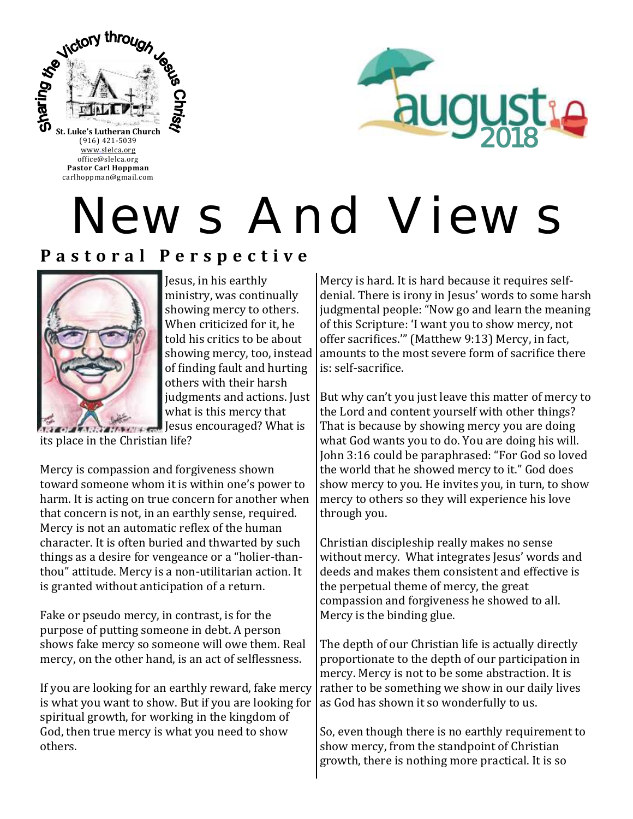

**Pastor Carl Hoppman** carlhoppman@gmail.com



# News And Views

## **P a s t o r a l P e r s p e c t i v e**



Jesus, in his earthly ministry, was continually showing mercy to others. When criticized for it, he told his critics to be about showing mercy, too, instead of finding fault and hurting others with their harsh judgments and actions. Just what is this mercy that

 $J<sub>1</sub>$  Jesus encouraged? What is its place in the Christian life?

Mercy is compassion and forgiveness shown toward someone whom it is within one's power to harm. It is acting on true concern for another when that concern is not, in an earthly sense, required. Mercy is not an automatic reflex of the human character. It is often buried and thwarted by such things as a desire for vengeance or a "holier-thanthou" attitude. Mercy is a non-utilitarian action. It is granted without anticipation of a return.

Fake or pseudo mercy, in contrast, is for the purpose of putting someone in debt. A person shows fake mercy so someone will owe them. Real mercy, on the other hand, is an act of selflessness.

If you are looking for an earthly reward, fake mercy is what you want to show. But if you are looking for spiritual growth, for working in the kingdom of God, then true mercy is what you need to show others.

Mercy is hard. It is hard because it requires selfdenial. There is irony in Jesus' words to some harsh judgmental people: "Now go and learn the meaning of this Scripture: 'I want you to show mercy, not offer sacrifices.'" (Matthew 9:13) Mercy, in fact, amounts to the most severe form of sacrifice there is: self-sacrifice.

But why can't you just leave this matter of mercy to the Lord and content yourself with other things? That is because by showing mercy you are doing what God wants you to do. You are doing his will. John 3:16 could be paraphrased: "For God so loved the world that he showed mercy to it." God does show mercy to you. He invites you, in turn, to show mercy to others so they will experience his love through you.

Christian discipleship really makes no sense without mercy. What integrates Jesus' words and deeds and makes them consistent and effective is the perpetual theme of mercy, the great compassion and forgiveness he showed to all. Mercy is the binding glue.

The depth of our Christian life is actually directly proportionate to the depth of our participation in mercy. Mercy is not to be some abstraction. It is rather to be something we show in our daily lives as God has shown it so wonderfully to us.

So, even though there is no earthly requirement to show mercy, from the standpoint of Christian growth, there is nothing more practical. It is so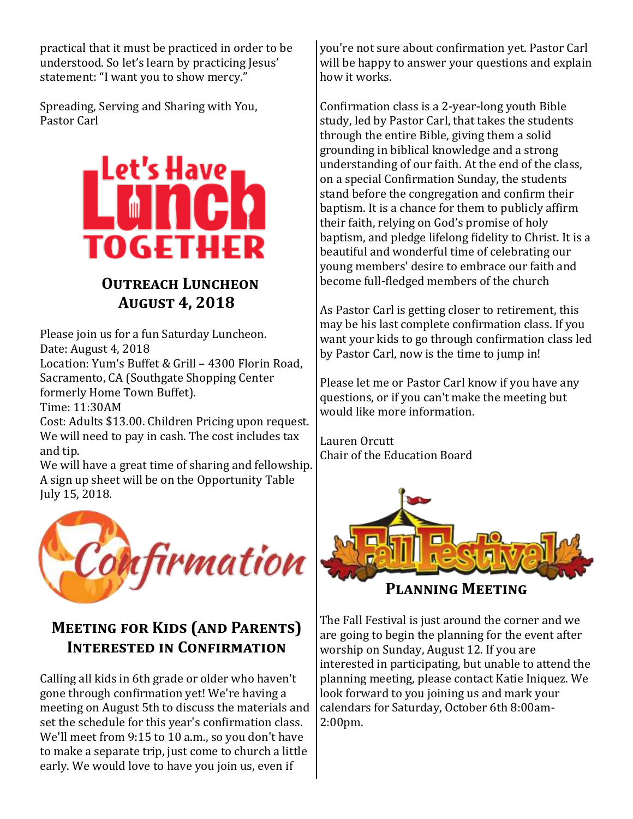practical that it must be practiced in order to be understood. So let's learn by practicing Jesus' statement: "I want you to show mercy."

Spreading, Serving and Sharing with You, Pastor Carl



## **OUTREACH LUNCHEON August 4, 2018**

Please join us for a fun Saturday Luncheon. Date: August 4, 2018

Location: Yum's Buffet & Grill – 4300 Florin Road, Sacramento, CA (Southgate Shopping Center formerly Home Town Buffet).

Time: 11:30AM

Cost: Adults \$13.00. Children Pricing upon request. We will need to pay in cash. The cost includes tax and tip.

We will have a great time of sharing and fellowship. A sign up sheet will be on the Opportunity Table July 15, 2018.



## **Meeting for Kids (and Parents) Interested in Confirmation**

Calling all kids in 6th grade or older who haven't gone through confirmation yet! We're having a meeting on August 5th to discuss the materials and set the schedule for this year's confirmation class. We'll meet from 9:15 to 10 a.m., so you don't have to make a separate trip, just come to church a little early. We would love to have you join us, even if

you're not sure about confirmation yet. Pastor Carl will be happy to answer your questions and explain how it works.

Confirmation class is a 2-year-long youth Bible study, led by Pastor Carl, that takes the students through the entire Bible, giving them a solid grounding in biblical knowledge and a strong understanding of our faith. At the end of the class, on a special Confirmation Sunday, the students stand before the congregation and confirm their baptism. It is a chance for them to publicly affirm their faith, relying on God's promise of holy baptism, and pledge lifelong fidelity to Christ. It is a beautiful and wonderful time of celebrating our young members' desire to embrace our faith and become full-fledged members of the church

As Pastor Carl is getting closer to retirement, this may be his last complete confirmation class. If you want your kids to go through confirmation class led by Pastor Carl, now is the time to jump in!

Please let me or Pastor Carl know if you have any questions, or if you can't make the meeting but would like more information.

Lauren Orcutt Chair of the Education Board



**Planning Meeting**

The Fall Festival is just around the corner and we are going to begin the planning for the event after worship on Sunday, August 12. If you are interested in participating, but unable to attend the planning meeting, please contact Katie Iniquez. We look forward to you joining us and mark your calendars for Saturday, October 6th 8:00am-2:00pm.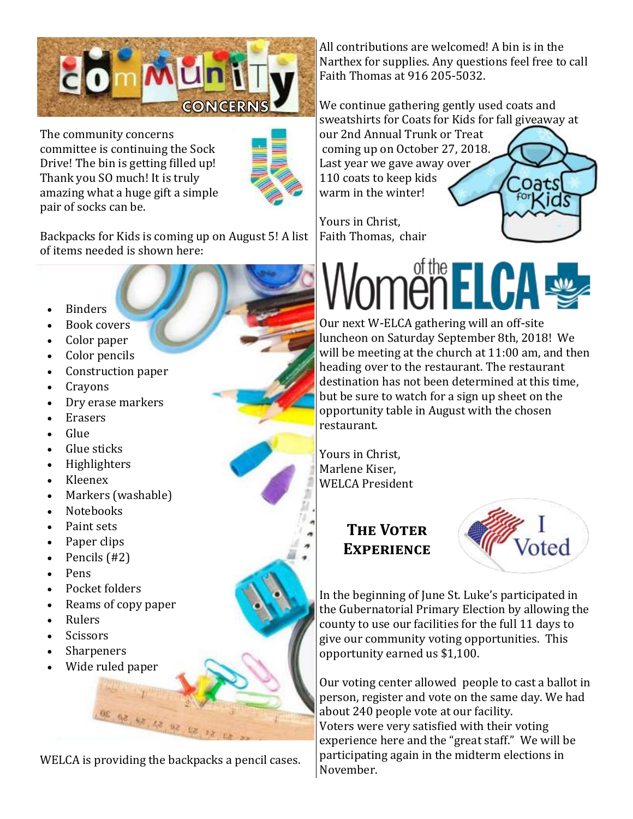

The community concerns committee is continuing the Sock Drive! The bin is getting filled up! Thank you SO much! It is truly amazing what a huge gift a simple pair of socks can be.



Backpacks for Kids is coming up on August 5! A list of items needed is shown here:

- Binders
- Book covers
- Color paper
- Color pencils
- Construction paper
- Crayons
- Dry erase markers
- Erasers
- Glue
- Glue sticks
- Highlighters
- Kleenex
- Markers (washable)
- Notebooks
- Paint sets
- Paper clips
- Pencils (#2)
- Pens
- Pocket folders
- Reams of copy paper
- Rulers
- Scissors
- Sharpeners
- Wide ruled paper

WELCA is providing the backpacks a pencil cases.

02 92 52 42 93 52 52

All contributions are welcomed! A bin is in the Narthex for supplies. Any questions feel free to call Faith Thomas at 916 205-5032.

We continue gathering gently used coats and sweatshirts for Coats for Kids for fall giveaway at our 2nd Annual Trunk or Treat coming up on October 27, 2018.

Last year we gave away over 110 coats to keep kids warm in the winter!

Yours in Christ, Faith Thomas, chair

# **ELCA**

Our next W-ELCA gathering will an off-site luncheon on Saturday September 8th, 2018! We will be meeting at the church at 11:00 am, and then heading over to the restaurant. The restaurant destination has not been determined at this time, but be sure to watch for a sign up sheet on the opportunity table in August with the chosen restaurant.

Yours in Christ, Marlene Kiser, WELCA President

## **THE VOTER Experience**



Oats

In the beginning of June St. Luke's participated in the Gubernatorial Primary Election by allowing the county to use our facilities for the full 11 days to give our community voting opportunities. This opportunity earned us \$1,100.

Our voting center allowed people to cast a ballot in person, register and vote on the same day. We had about 240 people vote at our facility. Voters were very satisfied with their voting experience here and the "great staff." We will be participating again in the midterm elections in November.

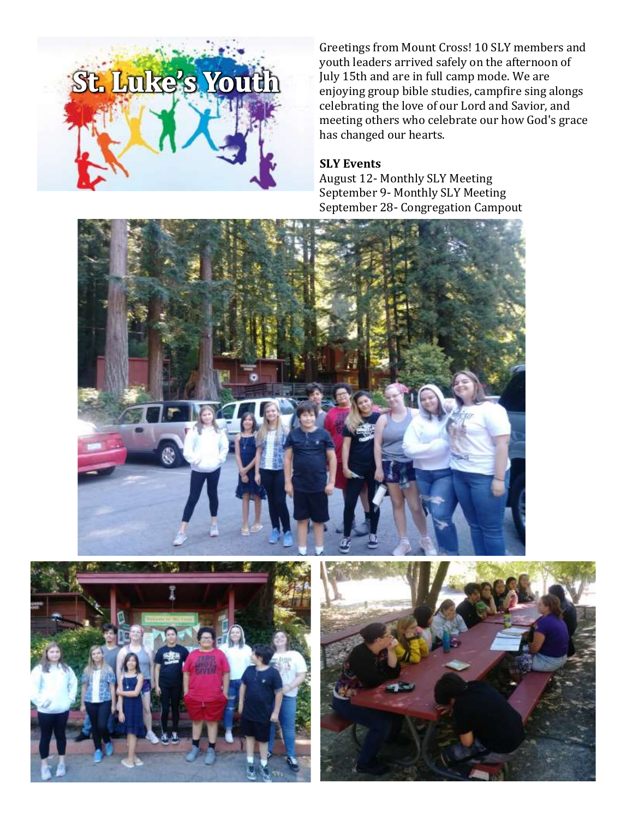

Greetings from Mount Cross! 10 SLY members and youth leaders arrived safely on the afternoon of July 15th and are in full camp mode. We are enjoying group bible studies, campfire sing alongs celebrating the love of our Lord and Savior, and meeting others who celebrate our how God's grace has changed our hearts.

#### **SLY Events**

August 12- Monthly SLY Meeting September 9- Monthly SLY Meeting September 28- Congregation Campout





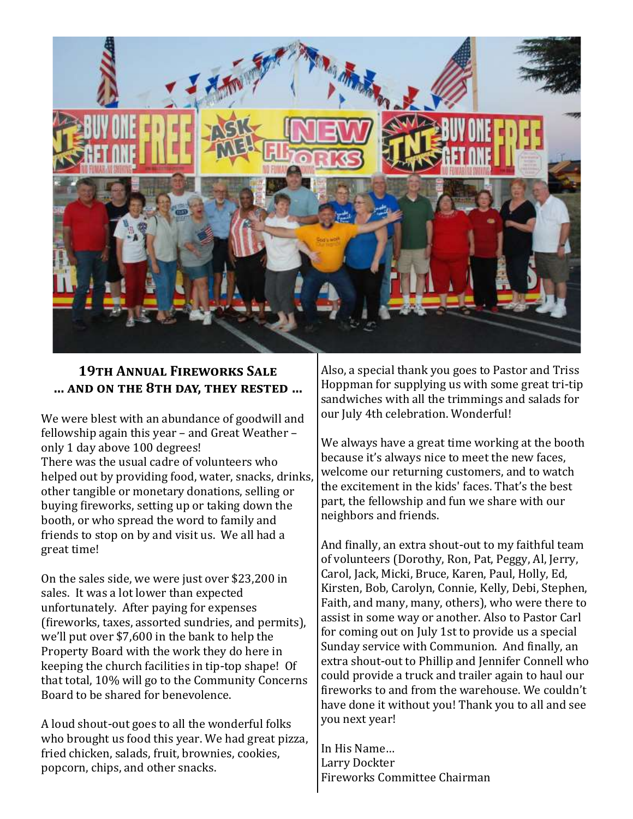

### **19th Annual Fireworks Sale … and on the 8th day, they rested …**

We were blest with an abundance of goodwill and fellowship again this year – and Great Weather – only 1 day above 100 degrees! There was the usual cadre of volunteers who helped out by providing food, water, snacks, drinks, other tangible or monetary donations, selling or buying fireworks, setting up or taking down the booth, or who spread the word to family and friends to stop on by and visit us. We all had a great time!

On the sales side, we were just over \$23,200 in sales. It was a lot lower than expected unfortunately. After paying for expenses (fireworks, taxes, assorted sundries, and permits), we'll put over \$7,600 in the bank to help the Property Board with the work they do here in keeping the church facilities in tip-top shape! Of that total, 10% will go to the Community Concerns Board to be shared for benevolence.

A loud shout-out goes to all the wonderful folks who brought us food this year. We had great pizza, fried chicken, salads, fruit, brownies, cookies, popcorn, chips, and other snacks.

Also, a special thank you goes to Pastor and Triss Hoppman for supplying us with some great tri-tip sandwiches with all the trimmings and salads for our July 4th celebration. Wonderful!

We always have a great time working at the booth because it's always nice to meet the new faces, welcome our returning customers, and to watch the excitement in the kids' faces. That's the best part, the fellowship and fun we share with our neighbors and friends.

And finally, an extra shout-out to my faithful team of volunteers (Dorothy, Ron, Pat, Peggy, Al, Jerry, Carol, Jack, Micki, Bruce, Karen, Paul, Holly, Ed, Kirsten, Bob, Carolyn, Connie, Kelly, Debi, Stephen, Faith, and many, many, others), who were there to assist in some way or another. Also to Pastor Carl for coming out on July 1st to provide us a special Sunday service with Communion. And finally, an extra shout-out to Phillip and Jennifer Connell who could provide a truck and trailer again to haul our fireworks to and from the warehouse. We couldn't have done it without you! Thank you to all and see you next year!

In His Name… Larry Dockter Fireworks Committee Chairman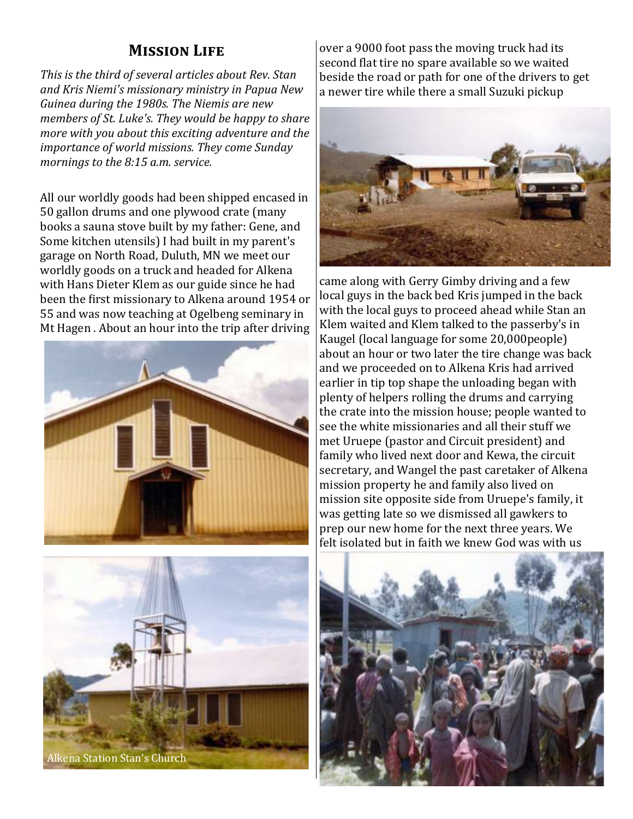## **Mission Life**

*This is the third of several articles about Rev. Stan and Kris Niemi's missionary ministry in Papua New Guinea during the 1980s. The Niemis are new members of St. Luke's. They would be happy to share more with you about this exciting adventure and the importance of world missions. They come Sunday mornings to the 8:15 a.m. service.*

All our worldly goods had been shipped encased in 50 gallon drums and one plywood crate (many books a sauna stove built by my father: Gene, and Some kitchen utensils) I had built in my parent's garage on North Road, Duluth, MN we meet our worldly goods on a truck and headed for Alkena with Hans Dieter Klem as our guide since he had been the first missionary to Alkena around 1954 or 55 and was now teaching at Ogelbeng seminary in Mt Hagen . About an hour into the trip after driving





over a 9000 foot pass the moving truck had its second flat tire no spare available so we waited beside the road or path for one of the drivers to get a newer tire while there a small Suzuki pickup



came along with Gerry Gimby driving and a few local guys in the back bed Kris jumped in the back with the local guys to proceed ahead while Stan an Klem waited and Klem talked to the passerby's in Kaugel (local language for some 20,000people) about an hour or two later the tire change was back and we proceeded on to Alkena Kris had arrived earlier in tip top shape the unloading began with plenty of helpers rolling the drums and carrying the crate into the mission house; people wanted to see the white missionaries and all their stuff we met Uruepe (pastor and Circuit president) and family who lived next door and Kewa, the circuit secretary, and Wangel the past caretaker of Alkena mission property he and family also lived on mission site opposite side from Uruepe's family, it was getting late so we dismissed all gawkers to prep our new home for the next three years. We felt isolated but in faith we knew God was with us

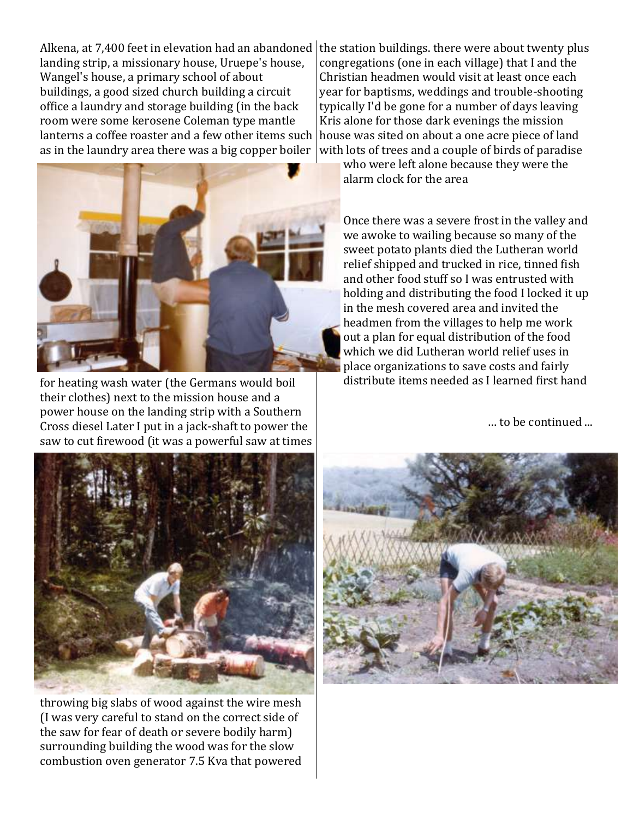Alkena, at 7,400 feet in elevation had an abandoned  $|$  the station buildings. there were about twenty plus landing strip, a missionary house, Uruepe's house, Wangel's house, a primary school of about buildings, a good sized church building a circuit office a laundry and storage building (in the back room were some kerosene Coleman type mantle lanterns a coffee roaster and a few other items such as in the laundry area there was a big copper boiler



for heating wash water (the Germans would boil their clothes) next to the mission house and a power house on the landing strip with a Southern Cross diesel Later I put in a jack-shaft to power the saw to cut firewood (it was a powerful saw at times

congregations (one in each village) that I and the Christian headmen would visit at least once each year for baptisms, weddings and trouble-shooting typically I'd be gone for a number of days leaving Kris alone for those dark evenings the mission house was sited on about a one acre piece of land with lots of trees and a couple of birds of paradise

who were left alone because they were the alarm clock for the area

Once there was a severe frost in the valley and we awoke to wailing because so many of the sweet potato plants died the Lutheran world relief shipped and trucked in rice, tinned fish and other food stuff so I was entrusted with holding and distributing the food I locked it up in the mesh covered area and invited the headmen from the villages to help me work out a plan for equal distribution of the food which we did Lutheran world relief uses in place organizations to save costs and fairly distribute items needed as I learned first hand

… to be continued ...



throwing big slabs of wood against the wire mesh (I was very careful to stand on the correct side of the saw for fear of death or severe bodily harm) surrounding building the wood was for the slow combustion oven generator 7.5 Kva that powered

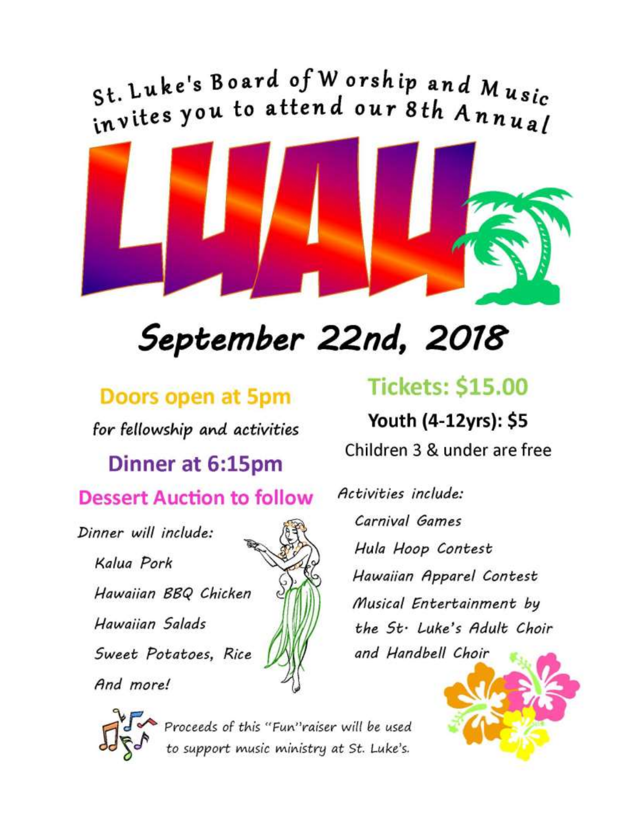St. Luke's Board of Worship and Music invites you to attend our 8th Annual



# September 22nd, 2018

## Doors open at 5pm

for fellowship and activities

## Dinner at 6:15pm **Dessert Auction to follow**

Dinner will include:

Kalua Pork Hawaiian BBQ Chicken Hawaiian Salads

Sweet Potatoes, Rice

And more!

## **Tickets: \$15.00**

Youth (4-12yrs): \$5 Children 3 & under are free

Activities include: Carnival Games Hula Hoop Contest Hawaiian Apparel Contest Musical Entertainment by the St. Luke's Adult Choir and Handbell Choir





Proceeds of this "Fun"raiser will be used<br>to support music ministry at St. Luke's.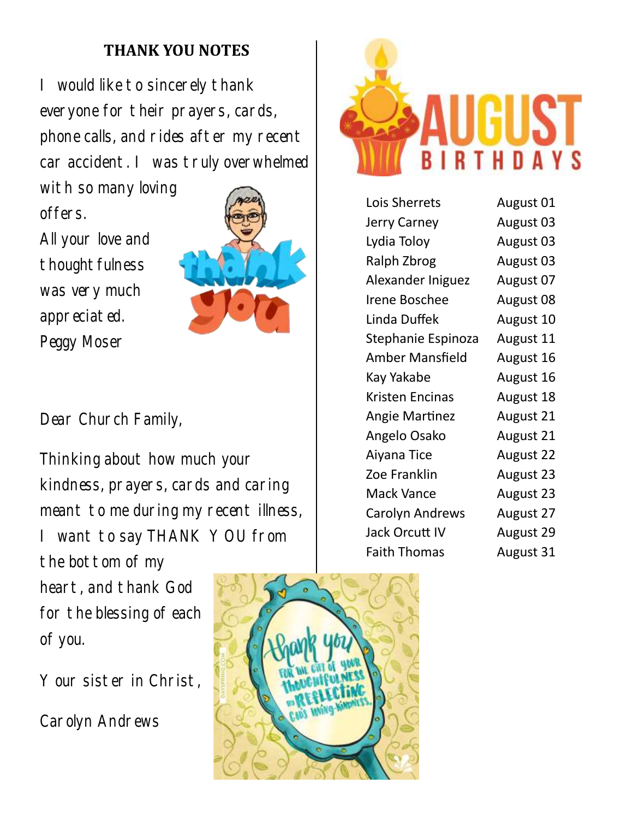## **THANK YOU NOTES**

I would like to sincerely thank everyone for their prayers, cards, phone calls, and rides after my recent car accident. I was truly overwhelmed

with so many loving offers.

All your love and thoughtfulness was very much appreciated. Peggy Moser



Dear Church Family,

Thinking about how much your kindness, prayers, cards and caring meant to me during my recent illness, I want to say THANK YOU from the bottom of my heart, and thank God for the blessing of each of you.

Your sister in Christ,

Carolyn Andrews





| Lois Sherrets          | August 01 |
|------------------------|-----------|
| <b>Jerry Carney</b>    | August 03 |
| Lydia Toloy            | August 03 |
| Ralph Zbrog            | August 03 |
| Alexander Iniguez      | August 07 |
| <b>Irene Boschee</b>   | August 08 |
| Linda Duffek           | August 10 |
| Stephanie Espinoza     | August 11 |
| <b>Amber Mansfield</b> | August 16 |
| Kay Yakabe             | August 16 |
| Kristen Encinas        | August 18 |
| <b>Angie Martinez</b>  | August 21 |
| Angelo Osako           | August 21 |
| Aiyana Tice            | August 22 |
| Zoe Franklin           | August 23 |
| <b>Mack Vance</b>      | August 23 |
| <b>Carolyn Andrews</b> | August 27 |
| Jack Orcutt IV         | August 29 |
| <b>Faith Thomas</b>    | August 31 |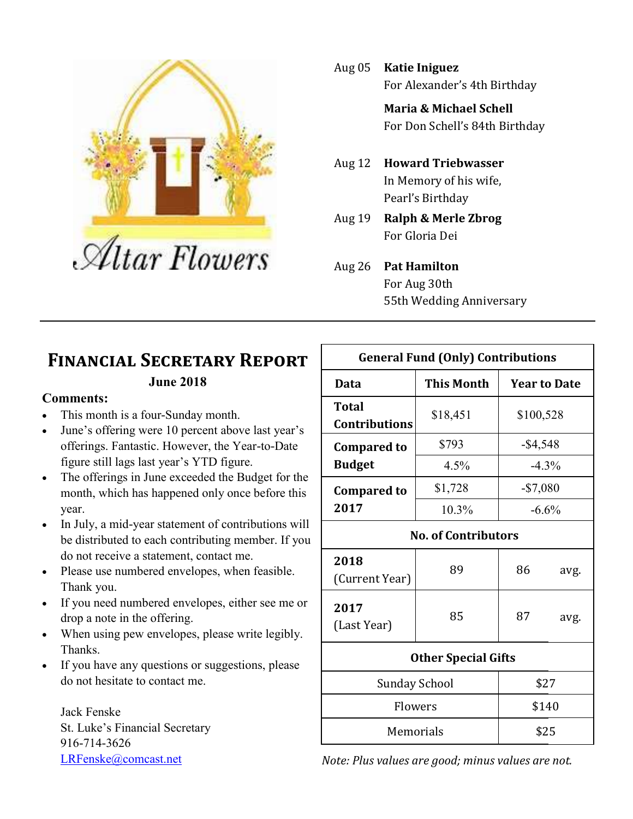

Aug 05 **Katie Iniguez** For Alexander's 4th Birthday

> **Maria & Michael Schell** For Don Schell's 84th Birthday

- Aug 12 **Howard Triebwasser** In Memory of his wife, Pearl's Birthday
- Aug 19 **Ralph & Merle Zbrog** For Gloria Dei
- Aug 26 **Pat Hamilton** For Aug 30th 55th Wedding Anniversary

## **Financial Secretary Report**

#### **June 2018**

#### **Comments:**

- This month is a four-Sunday month.
- June's offering were 10 percent above last year's offerings. Fantastic. However, the Year-to-Date figure still lags last year's YTD figure.
- The offerings in June exceeded the Budget for the month, which has happened only once before this year.
- In July, a mid-year statement of contributions will be distributed to each contributing member. If you do not receive a statement, contact me.
- Please use numbered envelopes, when feasible. Thank you.
- If you need numbered envelopes, either see me or drop a note in the offering.
- When using pew envelopes, please write legibly. Thanks.
- If you have any questions or suggestions, please do not hesitate to contact me.

Jack Fenske St. Luke's Financial Secretary 916-714-3626 [LRFenske@comcast.net](mailto:LRFenske@comcast.net)

| <b>General Fund (Only) Contributions</b> |                   |                     |      |  |  |
|------------------------------------------|-------------------|---------------------|------|--|--|
| Data                                     | <b>This Month</b> | <b>Year to Date</b> |      |  |  |
| <b>Total</b><br><b>Contributions</b>     | \$18,451          | \$100,528           |      |  |  |
| <b>Compared to</b><br><b>Budget</b>      | \$793             | $-$4,548$           |      |  |  |
|                                          | 4.5%              | $-4.3\%$            |      |  |  |
| <b>Compared to</b>                       | \$1,728           | $-$7,080$           |      |  |  |
| 2017                                     | 10.3%             | $-6.6\%$            |      |  |  |
| <b>No. of Contributors</b>               |                   |                     |      |  |  |
| 2018<br>(Current Year)                   | 89                | 86                  | avg. |  |  |
| 2017<br>(Last Year)                      | 85                | 87                  | avg. |  |  |
| <b>Other Special Gifts</b>               |                   |                     |      |  |  |
| Sunday School                            |                   | \$27                |      |  |  |
| Flowers                                  |                   | \$140               |      |  |  |
| Memorials                                |                   | \$25                |      |  |  |

*Note: Plus values are good; minus values are not.*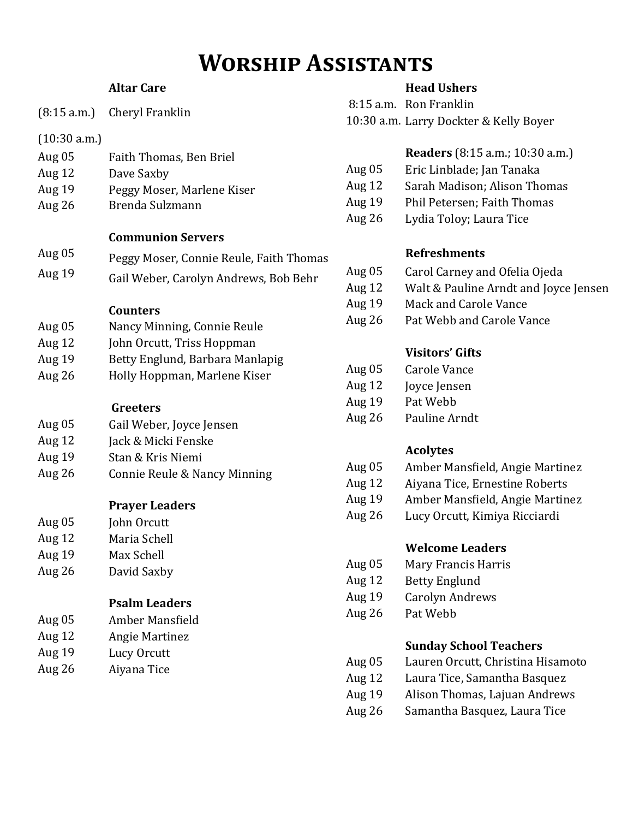## **Worship Assistants**

#### **Altar Care**

|              | (8:15 a.m.) Cheryl Franklin             |
|--------------|-----------------------------------------|
| (10:30 a.m.) |                                         |
| Aug 05       | Faith Thomas, Ben Briel                 |
| Aug $12$     | Dave Saxby                              |
| Aug 19       | Peggy Moser, Marlene Kiser              |
| Aug 26       | Brenda Sulzmann                         |
|              | <b>Communion Servers</b>                |
| Aug 05       | Peggy Moser, Connie Reule, Faith Thomas |
| Aug 19       | Gail Weber, Carolyn Andrews, Bob Behr   |
|              | <b>Counters</b>                         |
| Aug 05       | Nancy Minning, Connie Reule             |
| Aug 12       | John Orcutt, Triss Hoppman              |
| Aug 19       | Betty Englund, Barbara Manlapig         |
| Aug 26       | Holly Hoppman, Marlene Kiser            |
|              | Greeters                                |
| Aug 05       | Gail Weber, Joyce Jensen                |
| Aug 12       | Jack & Micki Fenske                     |
| Aug 19       | Stan & Kris Niemi                       |
| Aug 26       | Connie Reule & Nancy Minning            |
|              | <b>Prayer Leaders</b>                   |
| Aug 05       | John Orcutt                             |
| Aug 12       | Maria Schell                            |
| Aug 19       | Max Schell                              |
| Aug 26       | David Saxby                             |
|              | <b>Psalm Leaders</b>                    |
| Aug 05       | Amber Mansfield                         |
| Aug 12       | <b>Angie Martinez</b>                   |
| Aug 19       | Lucy Orcutt                             |
| Aug 26       | Aiyana Tice                             |
|              |                                         |

#### **Head Ushers**

8:15 a.m. Ron Franklin 10:30 a.m. Larry Dockter & Kelly Boyer

|          | <b>Readers</b> (8:15 a.m.; 10:30 a.m.) |
|----------|----------------------------------------|
| Aug $05$ | Eric Linblade; Jan Tanaka              |

- Aug 12 Sarah Madison; Alison Thomas
- Aug 19 Phil Petersen; Faith Thomas
- Aug 26 Lydia Toloy; Laura Tice

#### **Refreshments**

- Aug 05 Carol Carney and Ofelia Ojeda
- Aug 12 Walt & Pauline Arndt and Joyce Jensen
- Aug 19 Mack and Carole Vance
- Aug 26 Pat Webb and Carole Vance

## **Visitors' Gifts**

| Aug 05 | Carole Vance |
|--------|--------------|
|        |              |

- Aug 12 Joyce Jensen
- Aug 19 Pat Webb
- Aug 26 Pauline Arndt

## **Acolytes**

- Aug 05 Amber Mansfield, Angie Martinez
- Aug 12 Aiyana Tice, Ernestine Roberts
- Aug 19 Amber Mansfield, Angie Martinez
- Aug 26 Lucy Orcutt, Kimiya Ricciardi

## **Welcome Leaders**

- Aug 05 Mary Francis Harris
- Aug 12 Betty Englund
- Aug 19 Carolyn Andrews
- Aug 26 Pat Webb

## **Sunday School Teachers**

- Aug 05 Lauren Orcutt, Christina Hisamoto
- Aug 12 Laura Tice, Samantha Basquez
- Aug 19 Alison Thomas, Lajuan Andrews
- Aug 26 Samantha Basquez, Laura Tice